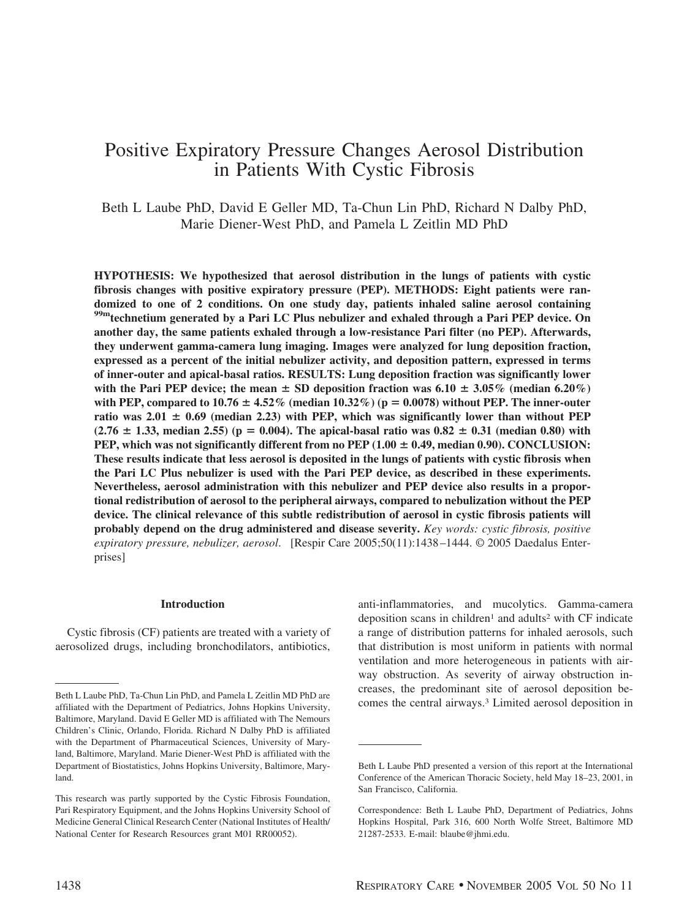# Positive Expiratory Pressure Changes Aerosol Distribution in Patients With Cystic Fibrosis

Beth L Laube PhD, David E Geller MD, Ta-Chun Lin PhD, Richard N Dalby PhD, Marie Diener-West PhD, and Pamela L Zeitlin MD PhD

**HYPOTHESIS: We hypothesized that aerosol distribution in the lungs of patients with cystic fibrosis changes with positive expiratory pressure (PEP). METHODS: Eight patients were randomized to one of 2 conditions. On one study day, patients inhaled saline aerosol containing 99mtechnetium generated by a Pari LC Plus nebulizer and exhaled through a Pari PEP device. On another day, the same patients exhaled through a low-resistance Pari filter (no PEP). Afterwards, they underwent gamma-camera lung imaging. Images were analyzed for lung deposition fraction, expressed as a percent of the initial nebulizer activity, and deposition pattern, expressed in terms of inner-outer and apical-basal ratios. RESULTS: Lung deposition fraction was significantly lower** with the Pari PEP device; the mean  $\pm$  SD deposition fraction was 6.10  $\pm$  3.05% (median 6.20%) with PEP, compared to  $10.76 \pm 4.52\%$  (median  $10.32\%$ ) ( $p = 0.0078$ ) without PEP. The inner-outer ratio was  $2.01 \pm 0.69$  (median 2.23) with PEP, which was significantly lower than without PEP  $(2.76 \pm 1.33, \text{ median } 2.55)$  ( $p = 0.004$ ). The apical-basal ratio was  $0.82 \pm 0.31$  (median 0.80) with **PEP, which was not significantly different from no PEP**  $(1.00 \pm 0.49$ **, median 0.90). CONCLUSION: These results indicate that less aerosol is deposited in the lungs of patients with cystic fibrosis when the Pari LC Plus nebulizer is used with the Pari PEP device, as described in these experiments. Nevertheless, aerosol administration with this nebulizer and PEP device also results in a proportional redistribution of aerosol to the peripheral airways, compared to nebulization without the PEP device. The clinical relevance of this subtle redistribution of aerosol in cystic fibrosis patients will probably depend on the drug administered and disease severity.** *Key words: cystic fibrosis, positive expiratory pressure, nebulizer, aerosol*. [Respir Care 2005;50(11):1438 –1444. © 2005 Daedalus Enterprises]

#### **Introduction**

Cystic fibrosis (CF) patients are treated with a variety of aerosolized drugs, including bronchodilators, antibiotics,

anti-inflammatories, and mucolytics. Gamma-camera deposition scans in children<sup>1</sup> and adults<sup>2</sup> with CF indicate a range of distribution patterns for inhaled aerosols, such that distribution is most uniform in patients with normal ventilation and more heterogeneous in patients with airway obstruction. As severity of airway obstruction increases, the predominant site of aerosol deposition be-Exercise the central airways.<sup>3</sup> Limited aerosol deposition in a filiated with the Department of Pediatrics Johns Hopkins University comes the central airways.<sup>3</sup> Limited aerosol deposition in

affiliated with the Department of Pediatrics, Johns Hopkins University, Baltimore, Maryland. David E Geller MD is affiliated with The Nemours Children's Clinic, Orlando, Florida. Richard N Dalby PhD is affiliated with the Department of Pharmaceutical Sciences, University of Maryland, Baltimore, Maryland. Marie Diener-West PhD is affiliated with the Department of Biostatistics, Johns Hopkins University, Baltimore, Maryland.

This research was partly supported by the Cystic Fibrosis Foundation, Pari Respiratory Equipment, and the Johns Hopkins University School of Medicine General Clinical Research Center (National Institutes of Health/ National Center for Research Resources grant M01 RR00052).

Beth L Laube PhD presented a version of this report at the International Conference of the American Thoracic Society, held May 18–23, 2001, in San Francisco, California.

Correspondence: Beth L Laube PhD, Department of Pediatrics, Johns Hopkins Hospital, Park 316, 600 North Wolfe Street, Baltimore MD 21287-2533. E-mail: blaube@jhmi.edu.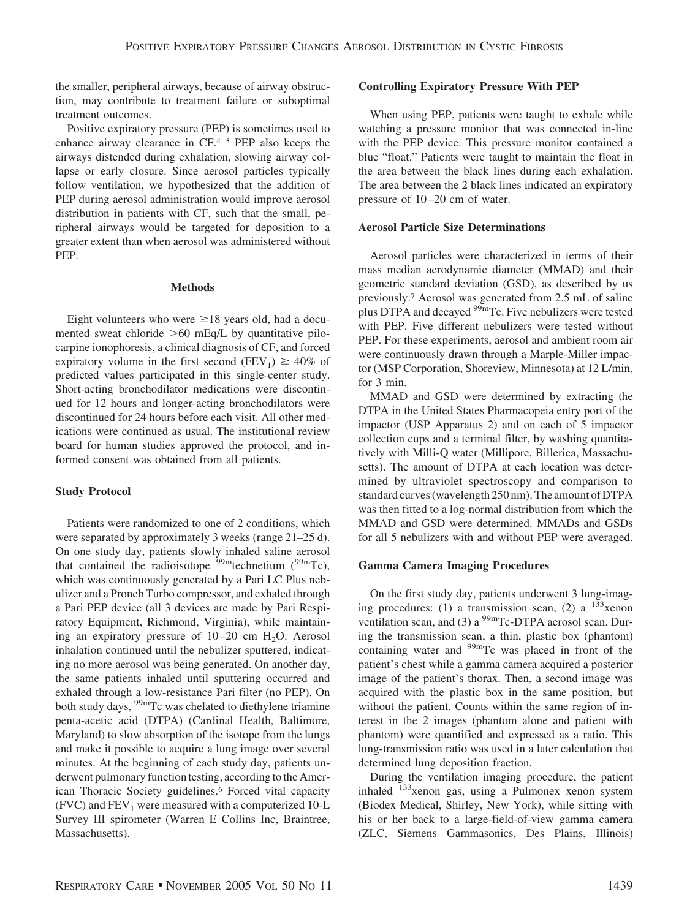the smaller, peripheral airways, because of airway obstruction, may contribute to treatment failure or suboptimal treatment outcomes.

Positive expiratory pressure (PEP) is sometimes used to enhance airway clearance in  $CF<sup>4-5</sup>$  PEP also keeps the airways distended during exhalation, slowing airway collapse or early closure. Since aerosol particles typically follow ventilation, we hypothesized that the addition of PEP during aerosol administration would improve aerosol distribution in patients with CF, such that the small, peripheral airways would be targeted for deposition to a greater extent than when aerosol was administered without PEP.

#### **Methods**

Eight volunteers who were  $\geq 18$  years old, had a documented sweat chloride  $>60$  mEq/L by quantitative pilocarpine ionophoresis, a clinical diagnosis of CF, and forced expiratory volume in the first second (FEV<sub>1</sub>)  $\geq 40\%$  of predicted values participated in this single-center study. Short-acting bronchodilator medications were discontinued for 12 hours and longer-acting bronchodilators were discontinued for 24 hours before each visit. All other medications were continued as usual. The institutional review board for human studies approved the protocol, and informed consent was obtained from all patients.

# **Study Protocol**

Patients were randomized to one of 2 conditions, which were separated by approximately 3 weeks (range 21–25 d). On one study day, patients slowly inhaled saline aerosol that contained the radioisotope  $\frac{99 \text{m}}{2}$  technetium  $\binom{99 \text{m}}{2}$ , which was continuously generated by a Pari LC Plus nebulizer and a Proneb Turbo compressor, and exhaled through a Pari PEP device (all 3 devices are made by Pari Respiratory Equipment, Richmond, Virginia), while maintaining an expiratory pressure of  $10-20$  cm  $H<sub>2</sub>O$ . Aerosol inhalation continued until the nebulizer sputtered, indicating no more aerosol was being generated. On another day, the same patients inhaled until sputtering occurred and exhaled through a low-resistance Pari filter (no PEP). On both study days, <sup>99m</sup>Tc was chelated to diethylene triamine penta-acetic acid (DTPA) (Cardinal Health, Baltimore, Maryland) to slow absorption of the isotope from the lungs and make it possible to acquire a lung image over several minutes. At the beginning of each study day, patients underwent pulmonary function testing, according to the American Thoracic Society guidelines.6 Forced vital capacity  $(FVC)$  and  $FEV<sub>1</sub>$  were measured with a computerized 10-L Survey III spirometer (Warren E Collins Inc, Braintree, Massachusetts).

# **Controlling Expiratory Pressure With PEP**

When using PEP, patients were taught to exhale while watching a pressure monitor that was connected in-line with the PEP device. This pressure monitor contained a blue "float." Patients were taught to maintain the float in the area between the black lines during each exhalation. The area between the 2 black lines indicated an expiratory pressure of 10 –20 cm of water.

# **Aerosol Particle Size Determinations**

Aerosol particles were characterized in terms of their mass median aerodynamic diameter (MMAD) and their geometric standard deviation (GSD), as described by us previously.7 Aerosol was generated from 2.5 mL of saline plus DTPA and decayed <sup>99m</sup>Tc. Five nebulizers were tested with PEP. Five different nebulizers were tested without PEP. For these experiments, aerosol and ambient room air were continuously drawn through a Marple-Miller impactor (MSP Corporation, Shoreview, Minnesota) at 12 L/min, for 3 min.

MMAD and GSD were determined by extracting the DTPA in the United States Pharmacopeia entry port of the impactor (USP Apparatus 2) and on each of 5 impactor collection cups and a terminal filter, by washing quantitatively with Milli-Q water (Millipore, Billerica, Massachusetts). The amount of DTPA at each location was determined by ultraviolet spectroscopy and comparison to standard curves (wavelength 250 nm). The amount of DTPA was then fitted to a log-normal distribution from which the MMAD and GSD were determined. MMADs and GSDs for all 5 nebulizers with and without PEP were averaged.

# **Gamma Camera Imaging Procedures**

On the first study day, patients underwent 3 lung-imaging procedures: (1) a transmission scan, (2) a  $133$ xenon ventilation scan, and (3) a  $^{99m}$ Tc-DTPA aerosol scan. During the transmission scan, a thin, plastic box (phantom) containing water and <sup>99m</sup>Tc was placed in front of the patient's chest while a gamma camera acquired a posterior image of the patient's thorax. Then, a second image was acquired with the plastic box in the same position, but without the patient. Counts within the same region of interest in the 2 images (phantom alone and patient with phantom) were quantified and expressed as a ratio. This lung-transmission ratio was used in a later calculation that determined lung deposition fraction.

During the ventilation imaging procedure, the patient inhaled <sup>133</sup>xenon gas, using a Pulmonex xenon system (Biodex Medical, Shirley, New York), while sitting with his or her back to a large-field-of-view gamma camera (ZLC, Siemens Gammasonics, Des Plains, Illinois)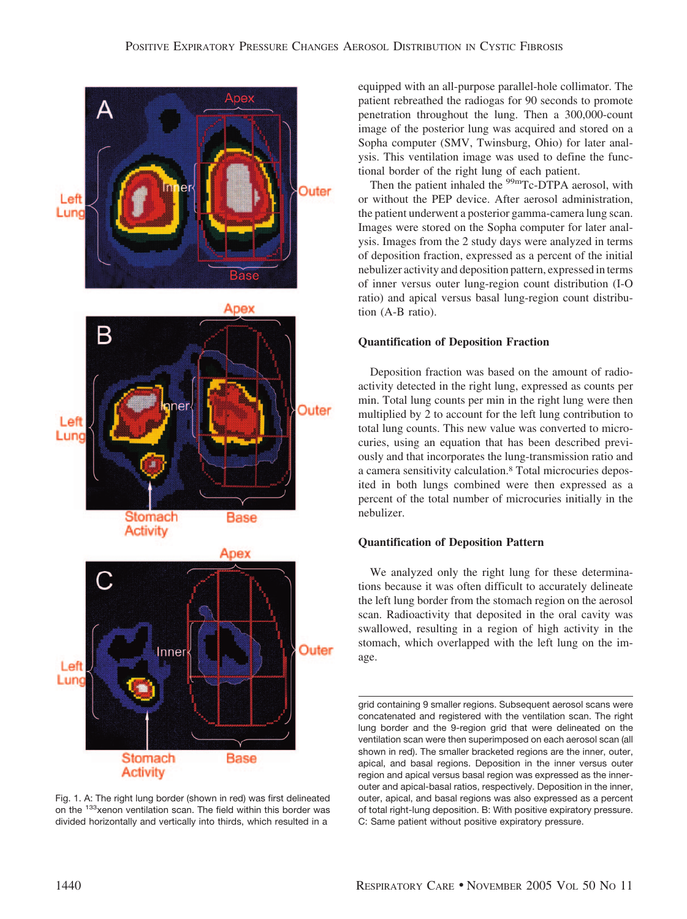

Fig. 1. A: The right lung border (shown in red) was first delineated on the <sup>133</sup>xenon ventilation scan. The field within this border was divided horizontally and vertically into thirds, which resulted in a

equipped with an all-purpose parallel-hole collimator. The patient rebreathed the radiogas for 90 seconds to promote penetration throughout the lung. Then a 300,000-count image of the posterior lung was acquired and stored on a Sopha computer (SMV, Twinsburg, Ohio) for later analysis. This ventilation image was used to define the functional border of the right lung of each patient.

Then the patient inhaled the <sup>99m</sup>Tc-DTPA aerosol, with or without the PEP device. After aerosol administration, the patient underwent a posterior gamma-camera lung scan. Images were stored on the Sopha computer for later analysis. Images from the 2 study days were analyzed in terms of deposition fraction, expressed as a percent of the initial nebulizer activity and deposition pattern, expressed in terms of inner versus outer lung-region count distribution (I-O ratio) and apical versus basal lung-region count distribution (A-B ratio).

# **Quantification of Deposition Fraction**

Deposition fraction was based on the amount of radioactivity detected in the right lung, expressed as counts per min. Total lung counts per min in the right lung were then multiplied by 2 to account for the left lung contribution to total lung counts. This new value was converted to microcuries, using an equation that has been described previously and that incorporates the lung-transmission ratio and a camera sensitivity calculation.8 Total microcuries deposited in both lungs combined were then expressed as a percent of the total number of microcuries initially in the nebulizer.

# **Quantification of Deposition Pattern**

We analyzed only the right lung for these determinations because it was often difficult to accurately delineate the left lung border from the stomach region on the aerosol scan. Radioactivity that deposited in the oral cavity was swallowed, resulting in a region of high activity in the stomach, which overlapped with the left lung on the image.

grid containing 9 smaller regions. Subsequent aerosol scans were concatenated and registered with the ventilation scan. The right lung border and the 9-region grid that were delineated on the ventilation scan were then superimposed on each aerosol scan (all shown in red). The smaller bracketed regions are the inner, outer, apical, and basal regions. Deposition in the inner versus outer region and apical versus basal region was expressed as the innerouter and apical-basal ratios, respectively. Deposition in the inner, outer, apical, and basal regions was also expressed as a percent of total right-lung deposition. B: With positive expiratory pressure. C: Same patient without positive expiratory pressure.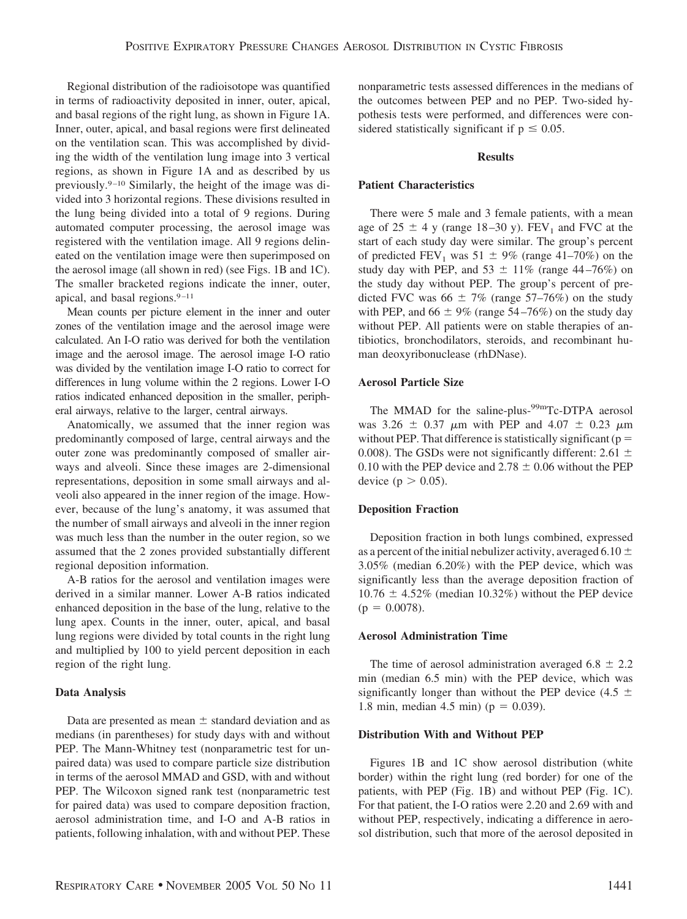Regional distribution of the radioisotope was quantified in terms of radioactivity deposited in inner, outer, apical, and basal regions of the right lung, as shown in Figure 1A. Inner, outer, apical, and basal regions were first delineated on the ventilation scan. This was accomplished by dividing the width of the ventilation lung image into 3 vertical regions, as shown in Figure 1A and as described by us previously.9 –10 Similarly, the height of the image was divided into 3 horizontal regions. These divisions resulted in the lung being divided into a total of 9 regions. During automated computer processing, the aerosol image was registered with the ventilation image. All 9 regions delineated on the ventilation image were then superimposed on the aerosol image (all shown in red) (see Figs. 1B and 1C). The smaller bracketed regions indicate the inner, outer, apical, and basal regions.<sup>9-11</sup>

Mean counts per picture element in the inner and outer zones of the ventilation image and the aerosol image were calculated. An I-O ratio was derived for both the ventilation image and the aerosol image. The aerosol image I-O ratio was divided by the ventilation image I-O ratio to correct for differences in lung volume within the 2 regions. Lower I-O ratios indicated enhanced deposition in the smaller, peripheral airways, relative to the larger, central airways.

Anatomically, we assumed that the inner region was predominantly composed of large, central airways and the outer zone was predominantly composed of smaller airways and alveoli. Since these images are 2-dimensional representations, deposition in some small airways and alveoli also appeared in the inner region of the image. However, because of the lung's anatomy, it was assumed that the number of small airways and alveoli in the inner region was much less than the number in the outer region, so we assumed that the 2 zones provided substantially different regional deposition information.

A-B ratios for the aerosol and ventilation images were derived in a similar manner. Lower A-B ratios indicated enhanced deposition in the base of the lung, relative to the lung apex. Counts in the inner, outer, apical, and basal lung regions were divided by total counts in the right lung and multiplied by 100 to yield percent deposition in each region of the right lung.

# **Data Analysis**

Data are presented as mean  $\pm$  standard deviation and as medians (in parentheses) for study days with and without PEP. The Mann-Whitney test (nonparametric test for unpaired data) was used to compare particle size distribution in terms of the aerosol MMAD and GSD, with and without PEP. The Wilcoxon signed rank test (nonparametric test for paired data) was used to compare deposition fraction, aerosol administration time, and I-O and A-B ratios in patients, following inhalation, with and without PEP. These nonparametric tests assessed differences in the medians of the outcomes between PEP and no PEP. Two-sided hypothesis tests were performed, and differences were considered statistically significant if  $p \le 0.05$ .

#### **Results**

#### **Patient Characteristics**

There were 5 male and 3 female patients, with a mean age of  $25 \pm 4$  y (range 18–30 y).  $FEV_1$  and FVC at the start of each study day were similar. The group's percent of predicted  $FEV_1$  was  $51 \pm 9\%$  (range 41–70%) on the study day with PEP, and  $53 \pm 11\%$  (range 44–76%) on the study day without PEP. The group's percent of predicted FVC was  $66 \pm 7\%$  (range 57–76%) on the study with PEP, and  $66 \pm 9\%$  (range 54–76%) on the study day without PEP. All patients were on stable therapies of antibiotics, bronchodilators, steroids, and recombinant human deoxyribonuclease (rhDNase).

#### **Aerosol Particle Size**

The MMAD for the saline-plus-<sup>99m</sup>Tc-DTPA aerosol was 3.26  $\pm$  0.37  $\mu$ m with PEP and 4.07  $\pm$  0.23  $\mu$ m without PEP. That difference is statistically significant ( $p =$ 0.008). The GSDs were not significantly different: 2.61  $\pm$ 0.10 with the PEP device and  $2.78 \pm 0.06$  without the PEP device ( $p > 0.05$ ).

# **Deposition Fraction**

Deposition fraction in both lungs combined, expressed as a percent of the initial nebulizer activity, averaged 6.10  $\pm$ 3.05% (median 6.20%) with the PEP device, which was significantly less than the average deposition fraction of  $10.76 \pm 4.52\%$  (median 10.32%) without the PEP device  $(p = 0.0078)$ .

#### **Aerosol Administration Time**

The time of aerosol administration averaged  $6.8 \pm 2.2$ min (median 6.5 min) with the PEP device, which was significantly longer than without the PEP device (4.5  $\pm$ 1.8 min, median 4.5 min) ( $p = 0.039$ ).

#### **Distribution With and Without PEP**

Figures 1B and 1C show aerosol distribution (white border) within the right lung (red border) for one of the patients, with PEP (Fig. 1B) and without PEP (Fig. 1C). For that patient, the I-O ratios were 2.20 and 2.69 with and without PEP, respectively, indicating a difference in aerosol distribution, such that more of the aerosol deposited in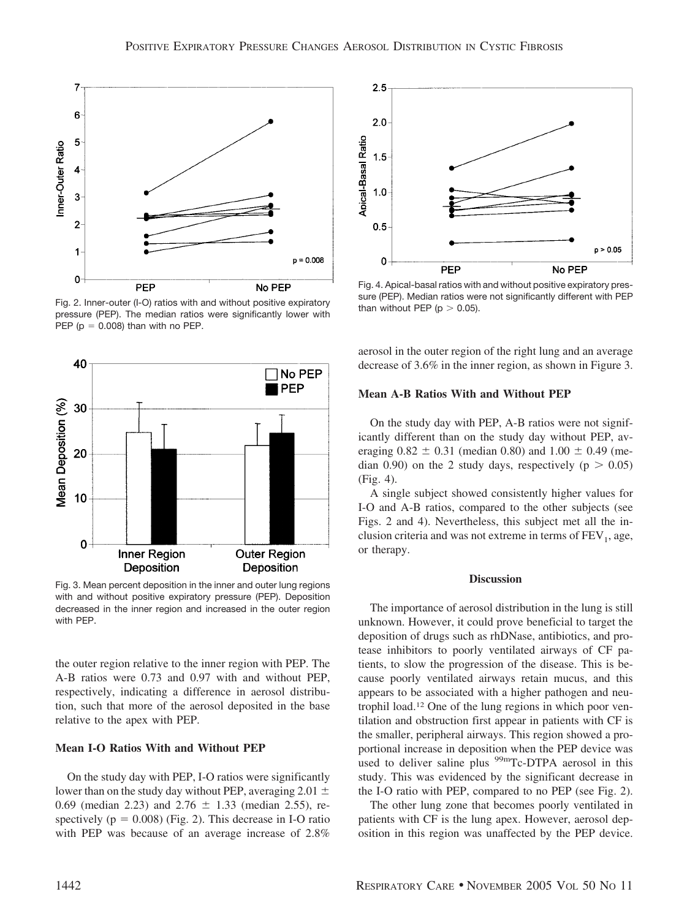

Fig. 2. Inner-outer (I-O) ratios with and without positive expiratory pressure (PEP). The median ratios were significantly lower with PEP ( $p = 0.008$ ) than with no PEP.



Fig. 3. Mean percent deposition in the inner and outer lung regions with and without positive expiratory pressure (PEP). Deposition decreased in the inner region and increased in the outer region with PEP.

the outer region relative to the inner region with PEP. The A-B ratios were 0.73 and 0.97 with and without PEP, respectively, indicating a difference in aerosol distribution, such that more of the aerosol deposited in the base relative to the apex with PEP.

# **Mean I-O Ratios With and Without PEP**

On the study day with PEP, I-O ratios were significantly lower than on the study day without PEP, averaging 2.01  $\pm$ 0.69 (median 2.23) and 2.76  $\pm$  1.33 (median 2.55), respectively ( $p = 0.008$ ) (Fig. 2). This decrease in I-O ratio with PEP was because of an average increase of 2.8%



Fig. 4. Apical-basal ratios with and without positive expiratory pressure (PEP). Median ratios were not significantly different with PEP than without PEP ( $p > 0.05$ ).

aerosol in the outer region of the right lung and an average decrease of 3.6% in the inner region, as shown in Figure 3.

# **Mean A-B Ratios With and Without PEP**

On the study day with PEP, A-B ratios were not significantly different than on the study day without PEP, averaging  $0.82 \pm 0.31$  (median 0.80) and  $1.00 \pm 0.49$  (median 0.90) on the 2 study days, respectively ( $p > 0.05$ ) (Fig. 4).

A single subject showed consistently higher values for I-O and A-B ratios, compared to the other subjects (see Figs. 2 and 4). Nevertheless, this subject met all the inclusion criteria and was not extreme in terms of  $FEV<sub>1</sub>$ , age, or therapy.

#### **Discussion**

The importance of aerosol distribution in the lung is still unknown. However, it could prove beneficial to target the deposition of drugs such as rhDNase, antibiotics, and protease inhibitors to poorly ventilated airways of CF patients, to slow the progression of the disease. This is because poorly ventilated airways retain mucus, and this appears to be associated with a higher pathogen and neutrophil load.12 One of the lung regions in which poor ventilation and obstruction first appear in patients with CF is the smaller, peripheral airways. This region showed a proportional increase in deposition when the PEP device was used to deliver saline plus  $99<sup>99m</sup>$ Tc-DTPA aerosol in this study. This was evidenced by the significant decrease in the I-O ratio with PEP, compared to no PEP (see Fig. 2).

The other lung zone that becomes poorly ventilated in patients with CF is the lung apex. However, aerosol deposition in this region was unaffected by the PEP device.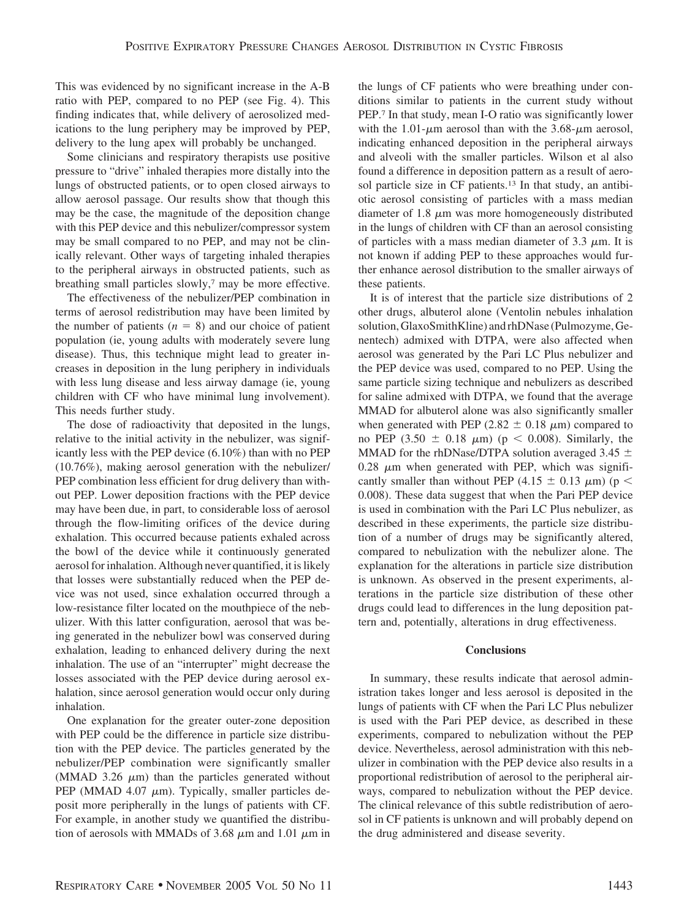This was evidenced by no significant increase in the A-B ratio with PEP, compared to no PEP (see Fig. 4). This finding indicates that, while delivery of aerosolized medications to the lung periphery may be improved by PEP, delivery to the lung apex will probably be unchanged.

Some clinicians and respiratory therapists use positive pressure to "drive" inhaled therapies more distally into the lungs of obstructed patients, or to open closed airways to allow aerosol passage. Our results show that though this may be the case, the magnitude of the deposition change with this PEP device and this nebulizer/compressor system may be small compared to no PEP, and may not be clinically relevant. Other ways of targeting inhaled therapies to the peripheral airways in obstructed patients, such as breathing small particles slowly,<sup>7</sup> may be more effective.

The effectiveness of the nebulizer/PEP combination in terms of aerosol redistribution may have been limited by the number of patients  $(n = 8)$  and our choice of patient population (ie, young adults with moderately severe lung disease). Thus, this technique might lead to greater increases in deposition in the lung periphery in individuals with less lung disease and less airway damage (ie, young children with CF who have minimal lung involvement). This needs further study.

The dose of radioactivity that deposited in the lungs, relative to the initial activity in the nebulizer, was significantly less with the PEP device (6.10%) than with no PEP (10.76%), making aerosol generation with the nebulizer/ PEP combination less efficient for drug delivery than without PEP. Lower deposition fractions with the PEP device may have been due, in part, to considerable loss of aerosol through the flow-limiting orifices of the device during exhalation. This occurred because patients exhaled across the bowl of the device while it continuously generated aerosol for inhalation. Although never quantified, it is likely that losses were substantially reduced when the PEP device was not used, since exhalation occurred through a low-resistance filter located on the mouthpiece of the nebulizer. With this latter configuration, aerosol that was being generated in the nebulizer bowl was conserved during exhalation, leading to enhanced delivery during the next inhalation. The use of an "interrupter" might decrease the losses associated with the PEP device during aerosol exhalation, since aerosol generation would occur only during inhalation.

One explanation for the greater outer-zone deposition with PEP could be the difference in particle size distribution with the PEP device. The particles generated by the nebulizer/PEP combination were significantly smaller (MMAD 3.26  $\mu$ m) than the particles generated without PEP (MMAD 4.07  $\mu$ m). Typically, smaller particles deposit more peripherally in the lungs of patients with CF. For example, in another study we quantified the distribution of aerosols with MMADs of 3.68  $\mu$ m and 1.01  $\mu$ m in the lungs of CF patients who were breathing under conditions similar to patients in the current study without PEP.7 In that study, mean I-O ratio was significantly lower with the 1.01- $\mu$ m aerosol than with the 3.68- $\mu$ m aerosol, indicating enhanced deposition in the peripheral airways and alveoli with the smaller particles. Wilson et al also found a difference in deposition pattern as a result of aerosol particle size in CF patients.13 In that study, an antibiotic aerosol consisting of particles with a mass median diameter of  $1.8 \mu m$  was more homogeneously distributed in the lungs of children with CF than an aerosol consisting of particles with a mass median diameter of 3.3  $\mu$ m. It is not known if adding PEP to these approaches would further enhance aerosol distribution to the smaller airways of these patients.

It is of interest that the particle size distributions of 2 other drugs, albuterol alone (Ventolin nebules inhalation solution, GlaxoSmithKline) and rhDNase (Pulmozyme, Genentech) admixed with DTPA, were also affected when aerosol was generated by the Pari LC Plus nebulizer and the PEP device was used, compared to no PEP. Using the same particle sizing technique and nebulizers as described for saline admixed with DTPA, we found that the average MMAD for albuterol alone was also significantly smaller when generated with PEP (2.82  $\pm$  0.18  $\mu$ m) compared to no PEP  $(3.50 \pm 0.18 \mu m)$  ( $p < 0.008$ ). Similarly, the MMAD for the rhDNase/DTPA solution averaged 3.45  $\pm$  $0.28 \mu m$  when generated with PEP, which was significantly smaller than without PEP (4.15  $\pm$  0.13  $\mu$ m) (p < 0.008). These data suggest that when the Pari PEP device is used in combination with the Pari LC Plus nebulizer, as described in these experiments, the particle size distribution of a number of drugs may be significantly altered, compared to nebulization with the nebulizer alone. The explanation for the alterations in particle size distribution is unknown. As observed in the present experiments, alterations in the particle size distribution of these other drugs could lead to differences in the lung deposition pattern and, potentially, alterations in drug effectiveness.

# **Conclusions**

In summary, these results indicate that aerosol administration takes longer and less aerosol is deposited in the lungs of patients with CF when the Pari LC Plus nebulizer is used with the Pari PEP device, as described in these experiments, compared to nebulization without the PEP device. Nevertheless, aerosol administration with this nebulizer in combination with the PEP device also results in a proportional redistribution of aerosol to the peripheral airways, compared to nebulization without the PEP device. The clinical relevance of this subtle redistribution of aerosol in CF patients is unknown and will probably depend on the drug administered and disease severity.